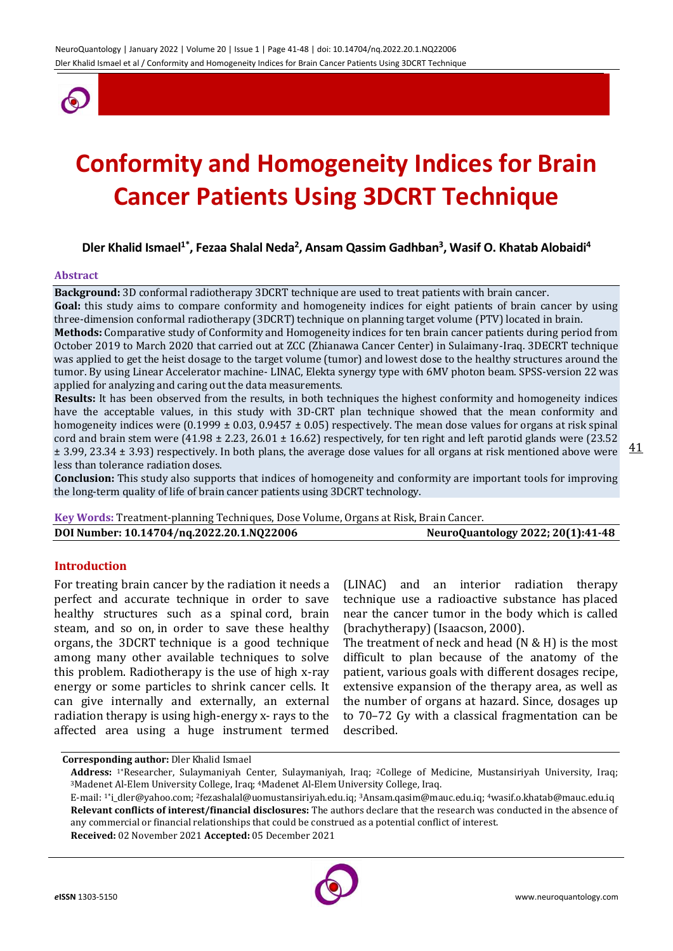

# **Conformity and Homogeneity Indices for Brain Cancer Patients Using 3DCRT Technique**

## **Dler Khalid Ismael1\* , Fezaa Shalal Neda<sup>2</sup> , Ansam Qassim Gadhban<sup>3</sup> , Wasif O. Khatab Alobaidi<sup>4</sup>**

#### **Abstract**

**Background:** 3D conformal radiotherapy 3DCRT technique are used to treat patients with brain cancer.

**Goal:** this study aims to compare conformity and homogeneity indices for eight patients of brain cancer by using three-dimension conformal radiotherapy (3DCRT) technique on planning target volume (PTV) located in brain. **Methods:** Comparative study of Conformity and Homogeneity indices for ten brain cancer patients during period from October 2019 to March 2020 that carried out at ZCC (Zhianawa Cancer Center) in Sulaimany-Iraq. 3DECRT technique

was applied to get the heist dosage to the target volume (tumor) and lowest dose to the healthy structures around the tumor. By using Linear Accelerator machine- LINAC, Elekta synergy type with 6MV photon beam. SPSS-version 22 was applied for analyzing and caring out the data measurements.

**Results:** It has been observed from the results, in both techniques the highest conformity and homogeneity indices have the acceptable values, in this study with 3D-CRT plan technique showed that the mean conformity and homogeneity indices were (0.1999 ± 0.03, 0.9457 ± 0.05) respectively. The mean dose values for organs at risk spinal cord and brain stem were (41.98  $\pm$  2.23, 26.01  $\pm$  16.62) respectively, for ten right and left parotid glands were (23.52 ± 3.99, 23.34 ± 3.93) respectively. In both plans, the average dose values for all organs at risk mentioned above were less than tolerance radiation doses.

**Conclusion:** This study also supports that indices of homogeneity and conformity are important tools for improving the long-term quality of life of brain cancer patients using 3DCRT technology.

| Key Words: Treatment-planning Techniques, Dose Volume, Organs at Risk, Brain Cancer. |                                   |
|--------------------------------------------------------------------------------------|-----------------------------------|
| DOI Number: 10.14704/nq.2022.20.1.NQ22006                                            | NeuroQuantology 2022; 20(1):41-48 |

#### **Introduction**

For treating brain cancer by the radiation it needs a perfect and accurate technique in order to save healthy structures such as a spinal cord, brain steam, and so on, in order to save these healthy organs, the 3DCRT technique is a good technique among many other available techniques to solve this problem. Radiotherapy is the use of high x-ray energy or some particles to shrink cancer cells. It can give internally and externally, an external radiation therapy is using high-energy x- rays to the affected area using a huge instrument termed

(LINAC) and an interior radiation therapy technique use a radioactive substance has placed near the cancer tumor in the body which is called (brachytherapy) (Isaacson, 2000).

The treatment of neck and head (N & H) is the most difficult to plan because of the anatomy of the patient, various goals with different dosages recipe, extensive expansion of the therapy area, as well as the number of organs at hazard. Since, dosages up to 70–72 Gy with a classical fragmentation can be described.

**Corresponding author:** Dler Khalid Ismael

**Received:** 02 November 2021 **Accepted:** 05 December 2021



**Address:** 1\*Researcher, Sulaymaniyah Center, Sulaymaniyah, Iraq; 2College of Medicine, Mustansiriyah University, Iraq; <sup>3</sup>Madenet Al-Elem University College, Iraq; <sup>4</sup>Madenet Al-Elem University College, Iraq.

E-mail: 1\*i\_dler@yahoo.com; <sup>2</sup>fezashalal@uomustansiriyah.edu.iq; 3Ansam.qasim@mauc.edu.iq; 4wasif.o.khatab@mauc.edu.iq **Relevant conflicts of interest/financial disclosures:** The authors declare that the research was conducted in the absence of any commercial or financial relationships that could be construed as a potential conflict of interest.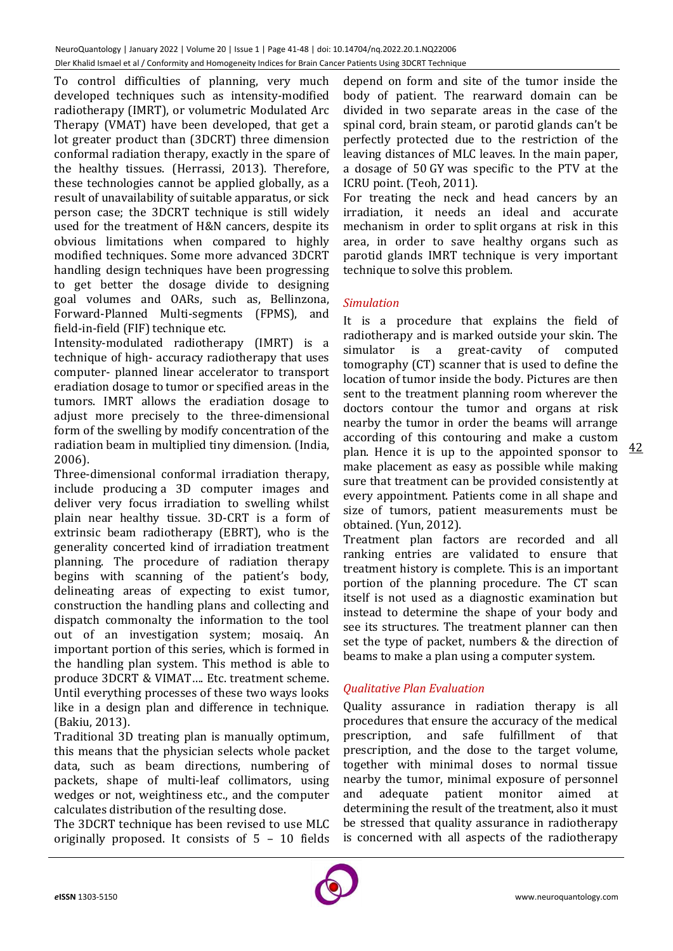To control difficulties of planning, very much developed techniques such as intensity-modified radiotherapy (IMRT), or volumetric Modulated Arc Therapy (VMAT) have been developed, that get a lot greater product than (3DCRT) three dimension conformal radiation therapy, exactly in the spare of the healthy tissues. (Herrassi, 2013). Therefore, these technologies cannot be applied globally, as a result of unavailability of suitable apparatus, or sick person case; the 3DCRT technique is still widely used for the treatment of H&N cancers, despite its obvious limitations when compared to highly modified techniques. Some more advanced 3DCRT handling design techniques have been progressing to get better the dosage divide to designing goal volumes and OARs, such as, Bellinzona, Forward-Planned Multi-segments (FPMS), and field-in-field (FIF) technique etc.

Intensity-modulated radiotherapy (IMRT) is a technique of high- accuracy radiotherapy that uses computer- planned linear accelerator to transport eradiation dosage to tumor or specified areas in the tumors. IMRT allows the eradiation dosage to adjust more precisely to the three-dimensional form of the swelling by modify concentration of the radiation beam in multiplied tiny dimension. (India, 2006).

Three-dimensional conformal irradiation therapy, include producing a 3D computer images and deliver very focus irradiation to swelling whilst plain near healthy tissue. 3D-CRT is a form of extrinsic beam radiotherapy (EBRT), who is the generality concerted kind of irradiation treatment planning. The procedure of radiation therapy begins with scanning of the patient's body, delineating areas of expecting to exist tumor, construction the handling plans and collecting and dispatch commonalty the information to the tool out of an investigation system; mosaiq. An important portion of this series, which is formed in the handling plan system. This method is able to produce 3DCRT & VIMAT…. Etc. treatment scheme. Until everything processes of these two ways looks like in a design plan and difference in technique. (Bakiu, 2013).

Traditional 3D treating plan is manually optimum, this means that the physician selects whole packet data, such as beam directions, numbering of packets, shape of multi-leaf collimators, using wedges or not, weightiness etc., and the computer calculates distribution of the resulting dose.

The 3DCRT technique has been revised to use MLC originally proposed. It consists of 5 – 10 fields depend on form and site of the tumor inside the body of patient. The rearward domain can be divided in two separate areas in the case of the spinal cord, brain steam, or parotid glands can't be perfectly protected due to the restriction of the leaving distances of MLC leaves. In the main paper, a dosage of 50 GY was specific to the PTV at the ICRU point. (Teoh, 2011).

For treating the neck and head cancers by an irradiation, it needs an ideal and accurate mechanism in order to split organs at risk in this area, in order to save healthy organs such as parotid glands IMRT technique is very important technique to solve this problem.

## *Simulation*

It is a procedure that explains the field of radiotherapy and is marked outside your skin. The simulator is a great-cavity of computed tomography (CT) scanner that is used to define the location of tumor inside the body. Pictures are then sent to the treatment planning room wherever the doctors contour the tumor and organs at risk nearby the tumor in order the beams will arrange according of this contouring and make a custom plan. Hence it is up to the appointed sponsor to make placement as easy as possible while making sure that treatment can be provided consistently at every appointment. Patients come in all shape and size of tumors, patient measurements must be obtained. (Yun, 2012).

Treatment plan factors are recorded and all ranking entries are validated to ensure that treatment history is complete. This is an important portion of the planning procedure. The CT scan itself is not used as a diagnostic examination but instead to determine the shape of your body and see its structures. The treatment planner can then set the type of packet, numbers & the direction of beams to make a plan using a computer system.

## *Qualitative Plan Evaluation*

Quality assurance in radiation therapy is all procedures that ensure the accuracy of the medical prescription, and safe fulfillment of that prescription, and the dose to the target volume, together with minimal doses to normal tissue nearby the tumor, minimal exposure of personnel and adequate patient monitor aimed at determining the result of the treatment, also it must be stressed that quality assurance in radiotherapy is concerned with all aspects of the radiotherapy

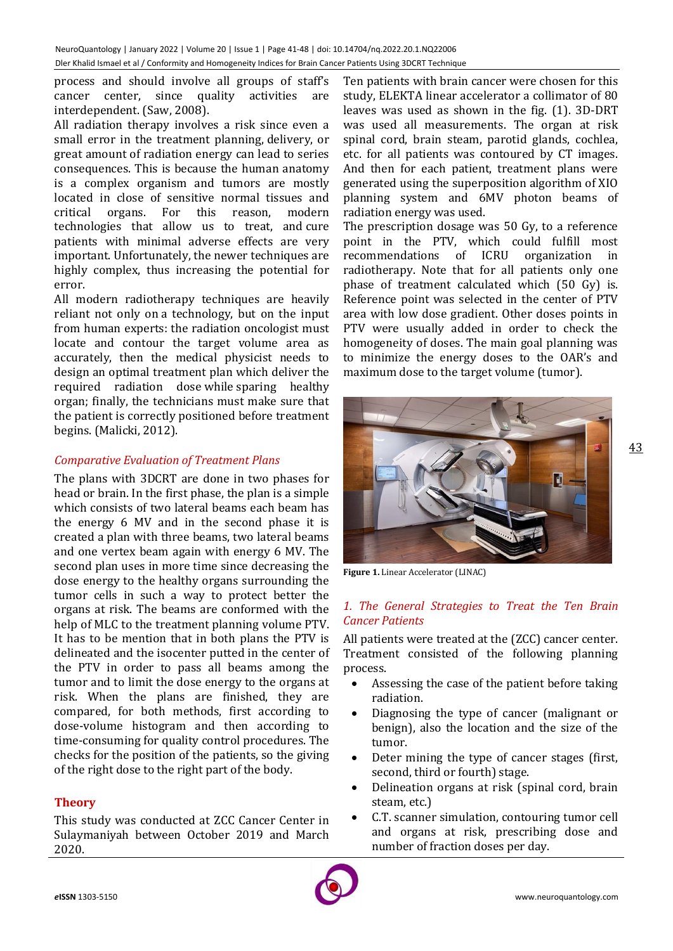process and should involve all groups of staff's cancer center, since quality activities are interdependent. (Saw, 2008).

All radiation therapy involves a risk since even a small error in the treatment planning, delivery, or great amount of radiation energy can lead to series consequences. This is because the human anatomy is a complex organism and tumors are mostly located in close of sensitive normal tissues and critical organs. For this reason, modern technologies that allow us to treat, and cure patients with minimal adverse effects are very important. Unfortunately, the newer techniques are highly complex, thus increasing the potential for error.

All modern radiotherapy techniques are heavily reliant not only on a technology, but on the input from human experts: the radiation oncologist must locate and contour the target volume area as accurately, then the medical physicist needs to design an optimal treatment plan which deliver the required radiation dose while sparing healthy organ; finally, the technicians must make sure that the patient is correctly positioned before treatment begins. (Malicki, 2012).

## *Comparative Evaluation of Treatment Plans*

The plans with 3DCRT are done in two phases for head or brain. In the first phase, the plan is a simple which consists of two lateral beams each beam has the energy 6 MV and in the second phase it is created a plan with three beams, two lateral beams and one vertex beam again with energy 6 MV. The second plan uses in more time since decreasing the dose energy to the healthy organs surrounding the tumor cells in such a way to protect better the organs at risk. The beams are conformed with the help of MLC to the treatment planning volume PTV. It has to be mention that in both plans the PTV is delineated and the isocenter putted in the center of the PTV in order to pass all beams among the tumor and to limit the dose energy to the organs at risk. When the plans are finished, they are compared, for both methods, first according to dose-volume histogram and then according to time-consuming for quality control procedures. The checks for the position of the patients, so the giving of the right dose to the right part of the body.

## **Theory**

This study was conducted at ZCC Cancer Center in Sulaymaniyah between October 2019 and March 2020.

Ten patients with brain cancer were chosen for this study, ELEKTA linear accelerator a collimator of 80 leaves was used as shown in the fig. (1). 3D-DRT was used all measurements. The organ at risk spinal cord, brain steam, parotid glands, cochlea, etc. for all patients was contoured by CT images. And then for each patient, treatment plans were generated using the superposition algorithm of XIO planning system and 6MV photon beams of radiation energy was used.

The prescription dosage was 50 Gy, to a reference point in the PTV, which could fulfill most recommendations of ICRU organization in radiotherapy. Note that for all patients only one phase of treatment calculated which (50 Gy) is. Reference point was selected in the center of PTV area with low dose gradient. Other doses points in PTV were usually added in order to check the homogeneity of doses. The main goal planning was to minimize the energy doses to the OAR's and maximum dose to the target volume (tumor).



**Figure 1.** Linear Accelerator (LINAC)

## *1. The General Strategies to Treat the Ten Brain Cancer Patients*

All patients were treated at the (ZCC) cancer center. Treatment consisted of the following planning process.

- Assessing the case of the patient before taking radiation.
- Diagnosing the type of cancer (malignant or benign), also the location and the size of the tumor.
- Deter mining the type of cancer stages (first, second, third or fourth) stage.
- Delineation organs at risk (spinal cord, brain steam, etc.)
- C.T. scanner simulation, contouring tumor cell and organs at risk, prescribing dose and number of fraction doses per day.

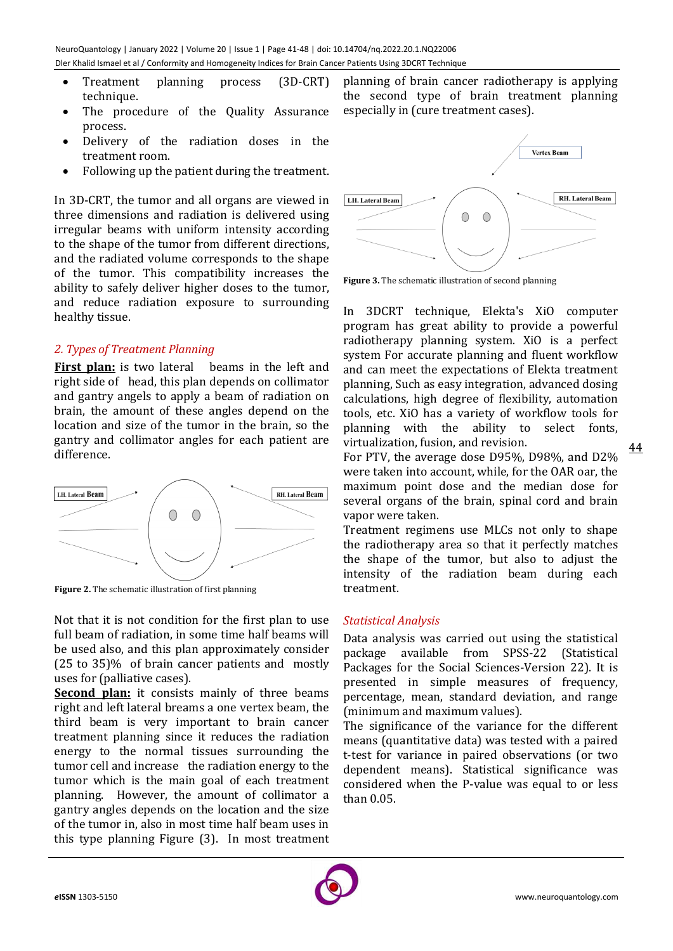- Treatment planning process (3D-CRT) technique.
- The procedure of the Quality Assurance process.
- Delivery of the radiation doses in the treatment room.
- Following up the patient during the treatment.

In 3D-CRT, the tumor and all organs are viewed in three dimensions and radiation is delivered using irregular beams with uniform intensity according to the shape of the tumor from different directions, and the radiated volume corresponds to the shape of the tumor. This compatibility increases the ability to safely deliver higher doses to the tumor, and reduce radiation exposure to surrounding healthy tissue.

## *2. Types of Treatment Planning*

**First plan:** is two lateral beams in the left and right side of head, this plan depends on collimator and gantry angels to apply a beam of radiation on brain, the amount of these angles depend on the location and size of the tumor in the brain, so the gantry and collimator angles for each patient are difference.



**Figure 2.** The schematic illustration of first planning

Not that it is not condition for the first plan to use full beam of radiation, in some time half beams will be used also, and this plan approximately consider (25 to 35)% of brain cancer patients and mostly uses for (palliative cases).

**Second plan:** it consists mainly of three beams right and left lateral breams a one vertex beam, the third beam is very important to brain cancer treatment planning since it reduces the radiation energy to the normal tissues surrounding the tumor cell and increase the radiation energy to the tumor which is the main goal of each treatment planning. However, the amount of collimator a gantry angles depends on the location and the size of the tumor in, also in most time half beam uses in this type planning Figure (3). In most treatment

planning of brain cancer radiotherapy is applying the second type of brain treatment planning especially in (cure treatment cases).



**Figure 3.** The schematic illustration of second planning

In 3DCRT technique, Elekta's XiO computer program has great ability to provide a powerful radiotherapy planning system. XiO is a perfect system For accurate planning and fluent workflow and can meet the expectations of Elekta treatment planning, Such as easy integration, advanced dosing calculations, high degree of flexibility, automation tools, etc. XiO has a variety of workflow tools for planning with the ability to select fonts, virtualization, fusion, and revision.

For PTV, the average dose D95%, D98%, and D2% were taken into account, while, for the OAR oar, the maximum point dose and the median dose for several organs of the brain, spinal cord and brain vapor were taken.

Treatment regimens use MLCs not only to shape the radiotherapy area so that it perfectly matches the shape of the tumor, but also to adjust the intensity of the radiation beam during each treatment.

## *Statistical Analysis*

Data analysis was carried out using the statistical package available from SPSS-22 (Statistical Packages for the Social Sciences-Version 22). It is presented in simple measures of frequency, percentage, mean, standard deviation, and range (minimum and maximum values).

The significance of the variance for the different means (quantitative data) was tested with a paired t-test for variance in paired observations (or two dependent means). Statistical significance was considered when the P-value was equal to or less than 0.05.



44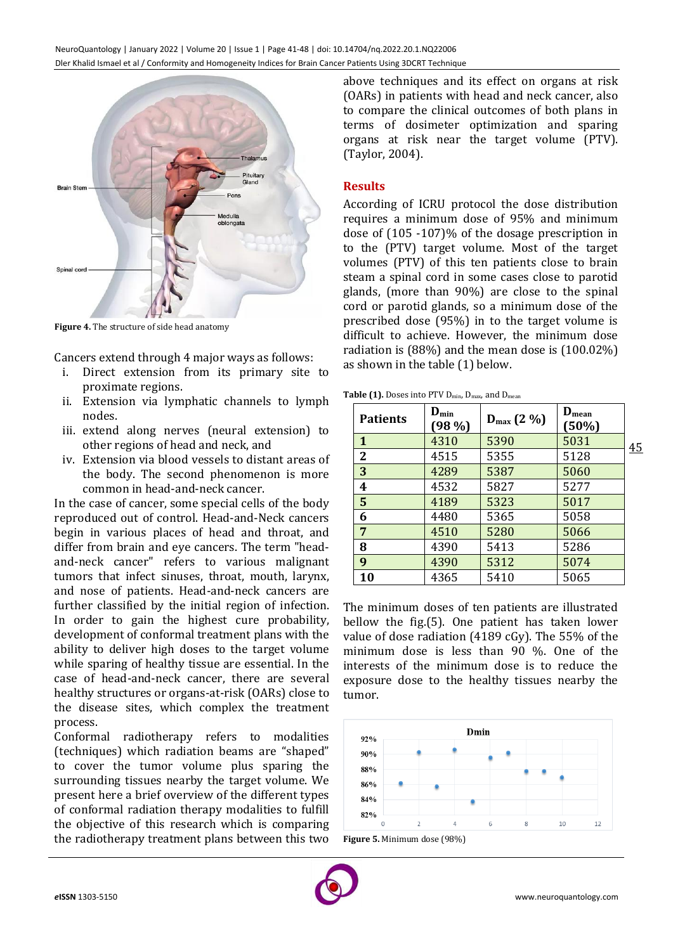

**Figure 4.** The structure of side head anatomy

Cancers extend through 4 major ways as follows:

- i. Direct extension from its primary site to proximate regions.
- ii. Extension via lymphatic channels to lymph nodes.
- iii. extend along nerves (neural extension) to other regions of head and neck, and
- iv. Extension via blood vessels to distant areas of the body. The second phenomenon is more common in head-and-neck cancer.

In the case of cancer, some special cells of the body reproduced out of control. Head-and-Neck cancers begin in various places of head and throat, and differ from brain and eye cancers. The term "headand-neck cancer" refers to various malignant tumors that infect sinuses, throat, mouth, larynx, and nose of patients. Head-and-neck cancers are further classified by the initial region of infection. In order to gain the highest cure probability, development of conformal treatment plans with the ability to deliver high doses to the target volume while sparing of healthy tissue are essential. In the case of head-and-neck cancer, there are several healthy structures or organs-at-risk (OARs) close to the disease sites, which complex the treatment process.

Conformal radiotherapy refers to modalities (techniques) which radiation beams are "shaped" to cover the tumor volume plus sparing the surrounding tissues nearby the target volume. We present here a brief overview of the different types of conformal radiation therapy modalities to fulfill the objective of this research which is comparing the radiotherapy treatment plans between this two above techniques and its effect on organs at risk (OARs) in patients with head and neck cancer, also to compare the clinical outcomes of both plans in terms of dosimeter optimization and sparing organs at risk near the target volume (PTV). (Taylor, 2004).

#### **Results**

According of ICRU protocol the dose distribution requires a minimum dose of 95% and minimum dose of (105 -107)% of the dosage prescription in to the (PTV) target volume. Most of the target volumes (PTV) of this ten patients close to brain steam a spinal cord in some cases close to parotid glands, (more than 90%) are close to the spinal cord or parotid glands, so a minimum dose of the prescribed dose (95%) in to the target volume is difficult to achieve. However, the minimum dose radiation is (88%) and the mean dose is (100.02%) as shown in the table (1) below.

Table (1). Doses into PTV D<sub>min</sub>, D<sub>max</sub>, and D<sub>mean</sub>

| <b>Patients</b> | $D_{\min}$<br>$(98\%)$ | $D_{\text{max}}(2\%)$ | $D_{mean}$<br>(50%) |    |
|-----------------|------------------------|-----------------------|---------------------|----|
| $\mathbf{1}$    | 4310                   | 5390                  | 5031                | 45 |
| $\mathbf 2$     | 4515                   | 5355                  | 5128                |    |
| 3               | 4289                   | 5387                  | 5060                |    |
| 4               | 4532                   | 5827                  | 5277                |    |
| 5               | 4189                   | 5323                  | 5017                |    |
| 6               | 4480                   | 5365                  | 5058                |    |
| 7               | 4510                   | 5280                  | 5066                |    |
| 8               | 4390                   | 5413                  | 5286                |    |
| 9               | 4390                   | 5312                  | 5074                |    |
| 10              | 4365                   | 5410                  | 5065                |    |

The minimum doses of ten patients are illustrated bellow the fig.(5). One patient has taken lower value of dose radiation (4189 cGy). The 55% of the minimum dose is less than 90 %. One of the interests of the minimum dose is to reduce the exposure dose to the healthy tissues nearby the tumor.



**Figure 5.** Minimum dose (98%)

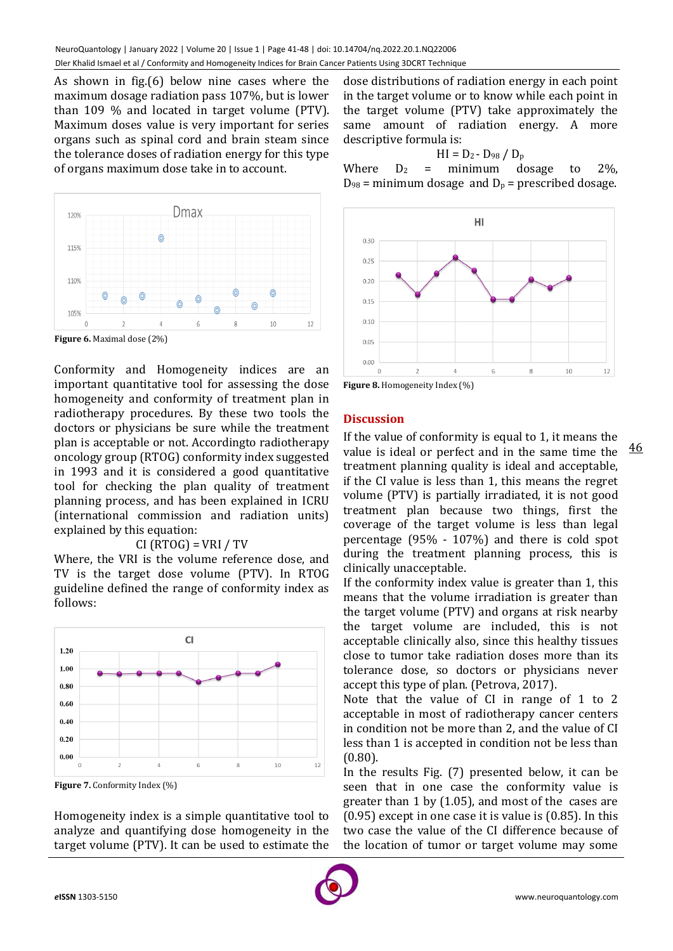As shown in fig.(6) below nine cases where the maximum dosage radiation pass 107%, but is lower than 109 % and located in target volume (PTV). Maximum doses value is very important for series organs such as spinal cord and brain steam since the tolerance doses of radiation energy for this type of organs maximum dose take in to account.



Conformity and Homogeneity indices are an important quantitative tool for assessing the dose homogeneity and conformity of treatment plan in radiotherapy procedures. By these two tools the doctors or physicians be sure while the treatment plan is acceptable or not. Accordingto radiotherapy oncology group (RTOG) conformity index suggested in 1993 and it is considered a good quantitative tool for checking the plan quality of treatment planning process, and has been explained in ICRU (international commission and radiation units) explained by this equation:

#### $CI (RTOG) = VRI / TV$

Where, the VRI is the volume reference dose, and TV is the target dose volume (PTV). In RTOG guideline defined the range of conformity index as follows:



**Figure 7.** Conformity Index (%)

Homogeneity index is a simple quantitative tool to analyze and quantifying dose homogeneity in the target volume (PTV). It can be used to estimate the dose distributions of radiation energy in each point in the target volume or to know while each point in the target volume (PTV) take approximately the same amount of radiation energy. A more descriptive formula is:

$$
HI = D_2 - D_{98} / D_p
$$

Where  $D_2$  = minimum dosage to 2%.  $D_{98}$  = minimum dosage and  $D_p$  = prescribed dosage.



**Figure 8.** Homogeneity Index (%)

#### **Discussion**

If the value of conformity is equal to 1, it means the value is ideal or perfect and in the same time the treatment planning quality is ideal and acceptable, if the CI value is less than 1, this means the regret volume (PTV) is partially irradiated, it is not good treatment plan because two things, first the coverage of the target volume is less than legal percentage (95% - 107%) and there is cold spot during the treatment planning process, this is clinically unacceptable.

If the conformity index value is greater than 1, this means that the volume irradiation is greater than the target volume (PTV) and organs at risk nearby the target volume are included, this is not acceptable clinically also, since this healthy tissues close to tumor take radiation doses more than its tolerance dose, so doctors or physicians never accept this type of plan. (Petrova, 2017).

Note that the value of CI in range of 1 to 2 acceptable in most of radiotherapy cancer centers in condition not be more than 2, and the value of CI less than 1 is accepted in condition not be less than (0.80).

In the results Fig. (7) presented below, it can be seen that in one case the conformity value is greater than 1 by (1.05), and most of the cases are (0.95) except in one case it is value is (0.85). In this two case the value of the CI difference because of the location of tumor or target volume may some



46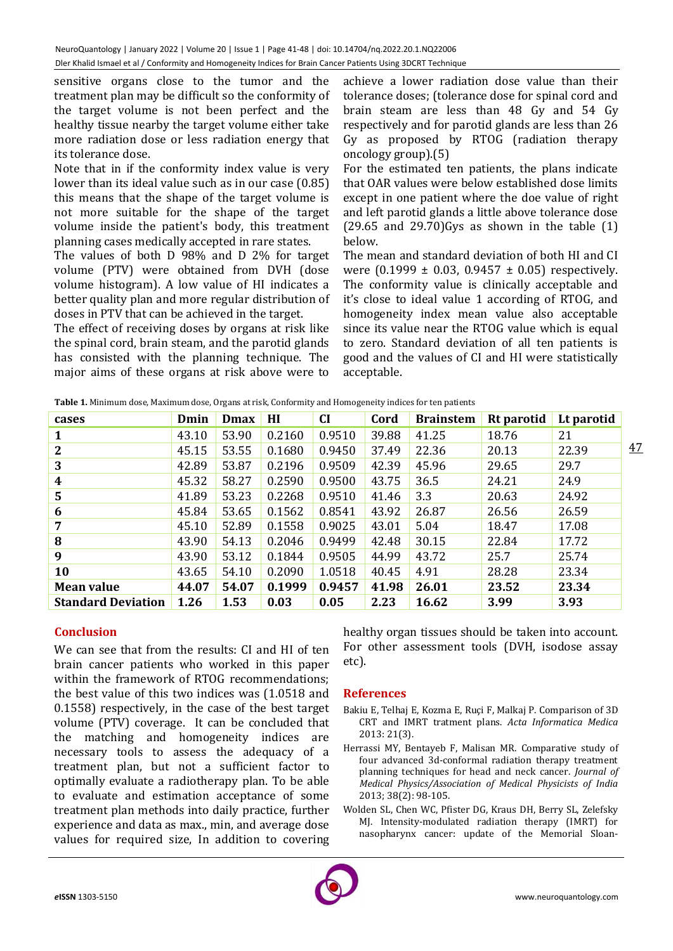sensitive organs close to the tumor and the treatment plan may be difficult so the conformity of the target volume is not been perfect and the healthy tissue nearby the target volume either take more radiation dose or less radiation energy that its tolerance dose.

Note that in if the conformity index value is very lower than its ideal value such as in our case (0.85) this means that the shape of the target volume is not more suitable for the shape of the target volume inside the patient's body, this treatment planning cases medically accepted in rare states.

The values of both D 98% and D 2% for target volume (PTV) were obtained from DVH (dose volume histogram). A low value of HI indicates a better quality plan and more regular distribution of doses in PTV that can be achieved in the target.

The effect of receiving doses by organs at risk like the spinal cord, brain steam, and the parotid glands has consisted with the planning technique. The major aims of these organs at risk above were to achieve a lower radiation dose value than their tolerance doses; (tolerance dose for spinal cord and brain steam are less than 48 Gy and 54 Gy respectively and for parotid glands are less than 26 Gy as proposed by RTOG (radiation therapy oncology group).(5)

For the estimated ten patients, the plans indicate that OAR values were below established dose limits except in one patient where the doe value of right and left parotid glands a little above tolerance dose  $(29.65$  and  $29.70)$  Gys as shown in the table  $(1)$ below.

The mean and standard deviation of both HI and CI were  $(0.1999 \pm 0.03, 0.9457 \pm 0.05)$  respectively. The conformity value is clinically acceptable and it's close to ideal value 1 according of RTOG, and homogeneity index mean value also acceptable since its value near the RTOG value which is equal to zero. Standard deviation of all ten patients is good and the values of CI and HI were statistically acceptable.

| cases                     | Dmin  | <b>Dmax</b> | HI     | <b>CI</b> | Cord  | <b>Brainstem</b> | Rt parotid | Lt parotid |    |
|---------------------------|-------|-------------|--------|-----------|-------|------------------|------------|------------|----|
| 1                         | 43.10 | 53.90       | 0.2160 | 0.9510    | 39.88 | 41.25            | 18.76      | 21         |    |
| $\mathbf{2}$              | 45.15 | 53.55       | 0.1680 | 0.9450    | 37.49 | 22.36            | 20.13      | 22.39      | 47 |
| 3                         | 42.89 | 53.87       | 0.2196 | 0.9509    | 42.39 | 45.96            | 29.65      | 29.7       |    |
| 4                         | 45.32 | 58.27       | 0.2590 | 0.9500    | 43.75 | 36.5             | 24.21      | 24.9       |    |
| $5\phantom{1}$            | 41.89 | 53.23       | 0.2268 | 0.9510    | 41.46 | 3.3              | 20.63      | 24.92      |    |
| 6                         | 45.84 | 53.65       | 0.1562 | 0.8541    | 43.92 | 26.87            | 26.56      | 26.59      |    |
| 7                         | 45.10 | 52.89       | 0.1558 | 0.9025    | 43.01 | 5.04             | 18.47      | 17.08      |    |
| 8                         | 43.90 | 54.13       | 0.2046 | 0.9499    | 42.48 | 30.15            | 22.84      | 17.72      |    |
| 9                         | 43.90 | 53.12       | 0.1844 | 0.9505    | 44.99 | 43.72            | 25.7       | 25.74      |    |
| 10                        | 43.65 | 54.10       | 0.2090 | 1.0518    | 40.45 | 4.91             | 28.28      | 23.34      |    |
| <b>Mean value</b>         | 44.07 | 54.07       | 0.1999 | 0.9457    | 41.98 | 26.01            | 23.52      | 23.34      |    |
| <b>Standard Deviation</b> | 1.26  | 1.53        | 0.03   | 0.05      | 2.23  | 16.62            | 3.99       | 3.93       |    |

**Table 1.** Minimum dose, Maximum dose, Organs at risk, Conformity and Homogeneity indices for ten patients

## **Conclusion**

We can see that from the results: CI and HI of ten brain cancer patients who worked in this paper within the framework of RTOG recommendations; the best value of this two indices was (1.0518 and 0.1558) respectively, in the case of the best target volume (PTV) coverage. It can be concluded that the matching and homogeneity indices are necessary tools to assess the adequacy of a treatment plan, but not a sufficient factor to optimally evaluate a radiotherapy plan. To be able to evaluate and estimation acceptance of some treatment plan methods into daily practice, further experience and data as max., min, and average dose values for required size, In addition to covering healthy organ tissues should be taken into account. For other assessment tools (DVH, isodose assay etc).

## **References**

- Bakiu E, Telhaj E, Kozma E, Ruçi F, Malkaj P. Comparison of 3D CRT and IMRT tratment plans. *Acta Informatica Medica* 2013: 21(3).
- Herrassi MY, Bentayeb F, Malisan MR. Comparative study of four advanced 3d-conformal radiation therapy treatment planning techniques for head and neck cancer. *Journal of Medical Physics/Association of Medical Physicists of India* 2013; 38(2): 98-105.
- Wolden SL, Chen WC, Pfister DG, Kraus DH, Berry SL, Zelefsky MJ. Intensity-modulated radiation therapy (IMRT) for nasopharynx cancer: update of the Memorial Sloan-